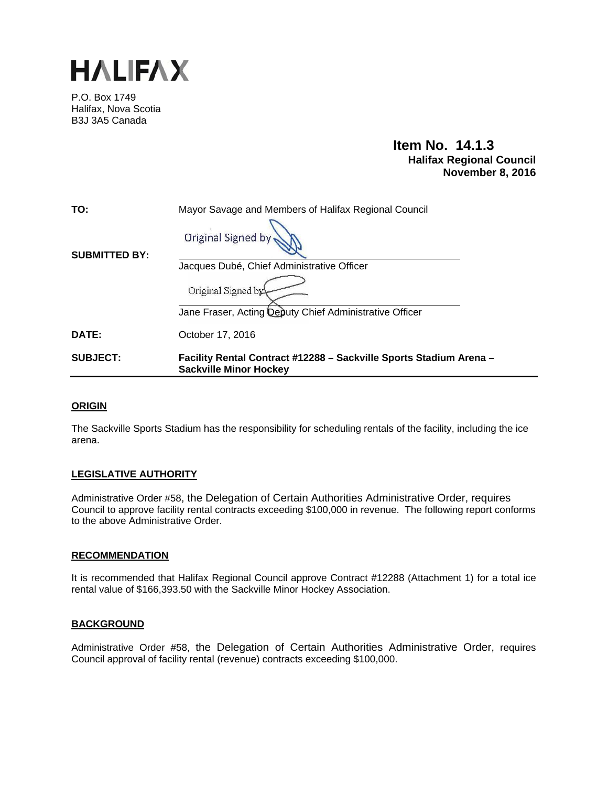

P.O. Box 1749 Halifax, Nova Scotia B3J 3A5 Canada

# **Item No. 14.1.3 Halifax Regional Council November 8, 2016**

| TO:                  | Mayor Savage and Members of Halifax Regional Council                                                |
|----------------------|-----------------------------------------------------------------------------------------------------|
| <b>SUBMITTED BY:</b> | <b>Original Signed by</b>                                                                           |
|                      | Jacques Dubé, Chief Administrative Officer                                                          |
|                      | Original Signed by                                                                                  |
|                      | Jane Fraser, Acting Deputy Chief Administrative Officer                                             |
| DATE:                | October 17, 2016                                                                                    |
| <b>SUBJECT:</b>      | Facility Rental Contract #12288 - Sackville Sports Stadium Arena -<br><b>Sackville Minor Hockey</b> |

### **ORIGIN**

The Sackville Sports Stadium has the responsibility for scheduling rentals of the facility, including the ice arena.

### **LEGISLATIVE AUTHORITY**

Administrative Order #58, the Delegation of Certain Authorities Administrative Order, requires Council to approve facility rental contracts exceeding \$100,000 in revenue. The following report conforms to the above Administrative Order.

### **RECOMMENDATION**

It is recommended that Halifax Regional Council approve Contract #12288 (Attachment 1) for a total ice rental value of \$166,393.50 with the Sackville Minor Hockey Association.

### **BACKGROUND**

Administrative Order #58, the Delegation of Certain Authorities Administrative Order, requires Council approval of facility rental (revenue) contracts exceeding \$100,000.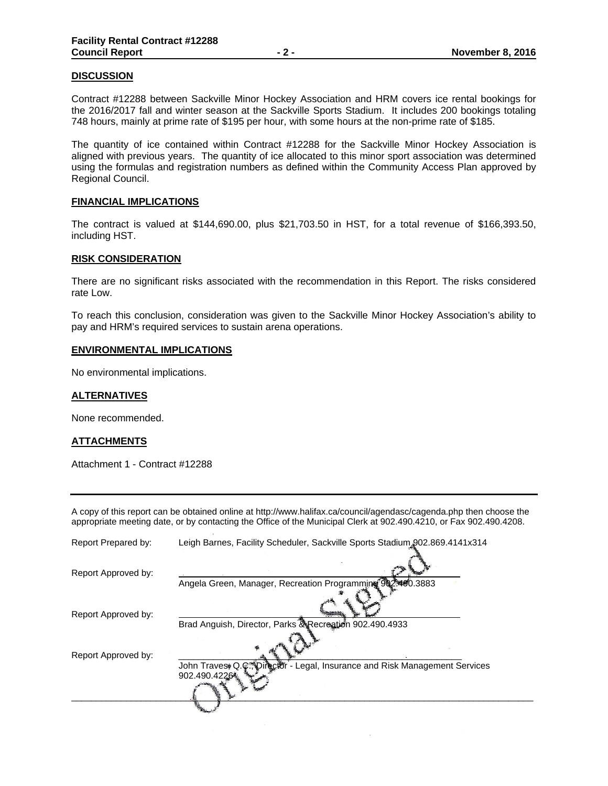#### **DISCUSSION**

Contract #12288 between Sackville Minor Hockey Association and HRM covers ice rental bookings for the 2016/2017 fall and winter season at the Sackville Sports Stadium. It includes 200 bookings totaling 748 hours, mainly at prime rate of \$195 per hour, with some hours at the non-prime rate of \$185.

The quantity of ice contained within Contract #12288 for the Sackville Minor Hockey Association is aligned with previous years. The quantity of ice allocated to this minor sport association was determined using the formulas and registration numbers as defined within the Community Access Plan approved by Regional Council.

#### **FINANCIAL IMPLICATIONS**

The contract is valued at \$144,690.00, plus \$21,703.50 in HST, for a total revenue of \$166,393.50, including HST.

#### **RISK CONSIDERATION**

There are no significant risks associated with the recommendation in this Report. The risks considered rate Low.

To reach this conclusion, consideration was given to the Sackville Minor Hockey Association's ability to pay and HRM's required services to sustain arena operations.

#### **ENVIRONMENTAL IMPLICATIONS**

No environmental implications.

#### **ALTERNATIVES**

None recommended.

### **ATTACHMENTS**

Attachment 1 - Contract #12288

A copy of this report can be obtained online at http://www.halifax.ca/council/agendasc/cagenda.php then choose the appropriate meeting date, or by contacting the Office of the Municipal Clerk at 902.490.4210, or Fax 902.490.4208.

| Report Prepared by: | Leigh Barnes, Facility Scheduler, Sackville Sports Stadium, 902.869.4141x314                   |
|---------------------|------------------------------------------------------------------------------------------------|
| Report Approved by: | Angela Green, Manager, Recreation Programming 902 \$50.3883                                    |
| Report Approved by: | Brad Anguish, Director, Parks & Recreation 902.490.4933                                        |
| Report Approved by: |                                                                                                |
|                     | John Traves, Q.C., Director -<br>Legal, Insurance and Risk Management Services<br>902.490.4226 |
|                     |                                                                                                |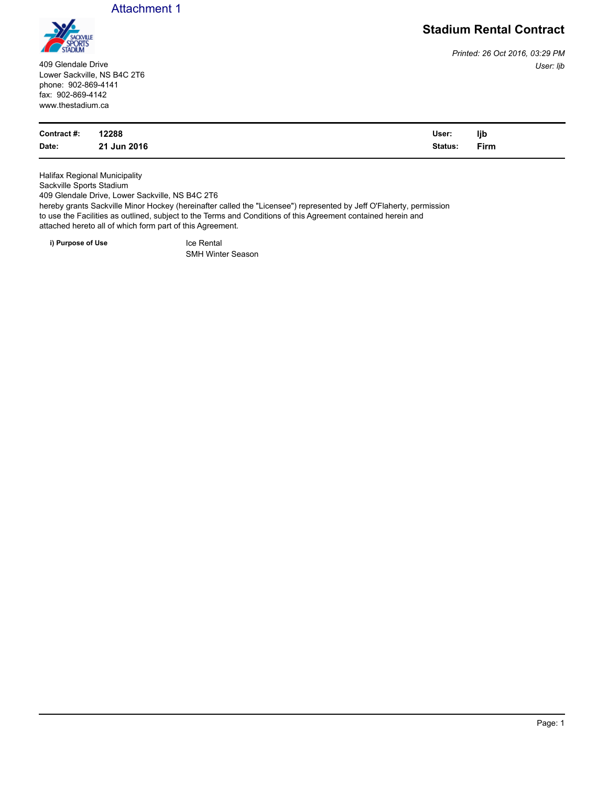## Attachment 1



Lower Sackville, NS B4C 2T6 phone: 902-869-4141 fax: 902-869-4142 www.thestadium.ca

# **Stadium Rental Contract**

*Printed: 26 Oct 2016, 03:29 PM* 409 Glendale Drive *User: ljb*

| Contract#: | 12288       | User:   | ljb  |
|------------|-------------|---------|------|
| Date:      | 21 Jun 2016 | Status: | Firm |
|            |             | .       |      |

Halifax Regional Municipality

Sackville Sports Stadium

409 Glendale Drive, Lower Sackville, NS B4C 2T6

hereby grants Sackville Minor Hockey (hereinafter called the "Licensee") represented by Jeff O'Flaherty, permission to use the Facilities as outlined, subject to the Terms and Conditions of this Agreement contained herein and attached hereto all of which form part of this Agreement.

**i) Purpose of Use** Ice Rental

SMH Winter Season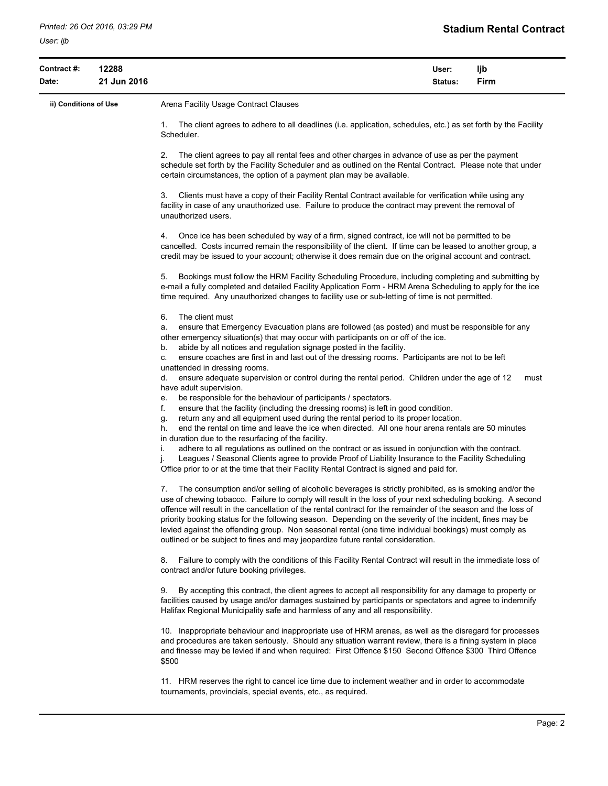| Contract#:<br>Date:   | 12288<br>21 Jun 2016 |                                                                                                                                                                                                                                                                                                                                                                                                                                                                                                                                                                                                                                                     | User:<br>Status: | ljb<br>Firm |  |  |  |  |  |  |  |
|-----------------------|----------------------|-----------------------------------------------------------------------------------------------------------------------------------------------------------------------------------------------------------------------------------------------------------------------------------------------------------------------------------------------------------------------------------------------------------------------------------------------------------------------------------------------------------------------------------------------------------------------------------------------------------------------------------------------------|------------------|-------------|--|--|--|--|--|--|--|
| ii) Conditions of Use |                      | Arena Facility Usage Contract Clauses                                                                                                                                                                                                                                                                                                                                                                                                                                                                                                                                                                                                               |                  |             |  |  |  |  |  |  |  |
|                       |                      | 1. The client agrees to adhere to all deadlines (i.e. application, schedules, etc.) as set forth by the Facility<br>Scheduler.                                                                                                                                                                                                                                                                                                                                                                                                                                                                                                                      |                  |             |  |  |  |  |  |  |  |
|                       |                      | 2. The client agrees to pay all rental fees and other charges in advance of use as per the payment<br>schedule set forth by the Facility Scheduler and as outlined on the Rental Contract. Please note that under<br>certain circumstances, the option of a payment plan may be available.                                                                                                                                                                                                                                                                                                                                                          |                  |             |  |  |  |  |  |  |  |
|                       |                      | Clients must have a copy of their Facility Rental Contract available for verification while using any<br>З.<br>facility in case of any unauthorized use. Failure to produce the contract may prevent the removal of<br>unauthorized users.                                                                                                                                                                                                                                                                                                                                                                                                          |                  |             |  |  |  |  |  |  |  |
|                       |                      | Once ice has been scheduled by way of a firm, signed contract, ice will not be permitted to be<br>4.<br>cancelled. Costs incurred remain the responsibility of the client. If time can be leased to another group, a<br>credit may be issued to your account; otherwise it does remain due on the original account and contract.                                                                                                                                                                                                                                                                                                                    |                  |             |  |  |  |  |  |  |  |
|                       |                      | Bookings must follow the HRM Facility Scheduling Procedure, including completing and submitting by<br>5.<br>e-mail a fully completed and detailed Facility Application Form - HRM Arena Scheduling to apply for the ice<br>time required. Any unauthorized changes to facility use or sub-letting of time is not permitted.                                                                                                                                                                                                                                                                                                                         |                  |             |  |  |  |  |  |  |  |
|                       |                      | The client must<br>6.<br>ensure that Emergency Evacuation plans are followed (as posted) and must be responsible for any<br>а.<br>other emergency situation(s) that may occur with participants on or off of the ice.<br>b. abide by all notices and regulation signage posted in the facility.<br>ensure coaches are first in and last out of the dressing rooms. Participants are not to be left<br>C.<br>unattended in dressing rooms.                                                                                                                                                                                                           |                  |             |  |  |  |  |  |  |  |
|                       |                      | d. ensure adequate supervision or control during the rental period. Children under the age of 12<br>have adult supervision.<br>be responsible for the behaviour of participants / spectators.<br>е.                                                                                                                                                                                                                                                                                                                                                                                                                                                 |                  | must        |  |  |  |  |  |  |  |
|                       |                      | ensure that the facility (including the dressing rooms) is left in good condition.<br>f.<br>return any and all equipment used during the rental period to its proper location.<br>g.<br>end the rental on time and leave the ice when directed. All one hour arena rentals are 50 minutes<br>h.                                                                                                                                                                                                                                                                                                                                                     |                  |             |  |  |  |  |  |  |  |
|                       |                      | in duration due to the resurfacing of the facility.<br>adhere to all regulations as outlined on the contract or as issued in conjunction with the contract.<br>Leagues / Seasonal Clients agree to provide Proof of Liability Insurance to the Facility Scheduling<br>Office prior to or at the time that their Facility Rental Contract is signed and paid for.                                                                                                                                                                                                                                                                                    |                  |             |  |  |  |  |  |  |  |
|                       |                      | 7. The consumption and/or selling of alcoholic beverages is strictly prohibited, as is smoking and/or the<br>use of chewing tobacco. Failure to comply will result in the loss of your next scheduling booking. A second<br>offence will result in the cancellation of the rental contract for the remainder of the season and the loss of<br>priority booking status for the following season. Depending on the severity of the incident, fines may be<br>levied against the offending group. Non seasonal rental (one time individual bookings) must comply as<br>outlined or be subject to fines and may jeopardize future rental consideration. |                  |             |  |  |  |  |  |  |  |
|                       |                      | 8. Failure to comply with the conditions of this Facility Rental Contract will result in the immediate loss of<br>contract and/or future booking privileges.                                                                                                                                                                                                                                                                                                                                                                                                                                                                                        |                  |             |  |  |  |  |  |  |  |
|                       |                      | By accepting this contract, the client agrees to accept all responsibility for any damage to property or<br>9.<br>facilities caused by usage and/or damages sustained by participants or spectators and agree to indemnify<br>Halifax Regional Municipality safe and harmless of any and all responsibility.                                                                                                                                                                                                                                                                                                                                        |                  |             |  |  |  |  |  |  |  |
|                       |                      | 10. Inappropriate behaviour and inappropriate use of HRM arenas, as well as the disregard for processes<br>and procedures are taken seriously. Should any situation warrant review, there is a fining system in place<br>and finesse may be levied if and when required: First Offence \$150 Second Offence \$300 Third Offence<br>\$500                                                                                                                                                                                                                                                                                                            |                  |             |  |  |  |  |  |  |  |
|                       |                      | 11. HRM reserves the right to cancel ice time due to inclement weather and in order to accommodate<br>tournaments, provincials, special events, etc., as required.                                                                                                                                                                                                                                                                                                                                                                                                                                                                                  |                  |             |  |  |  |  |  |  |  |

Revised: December 10th, 2013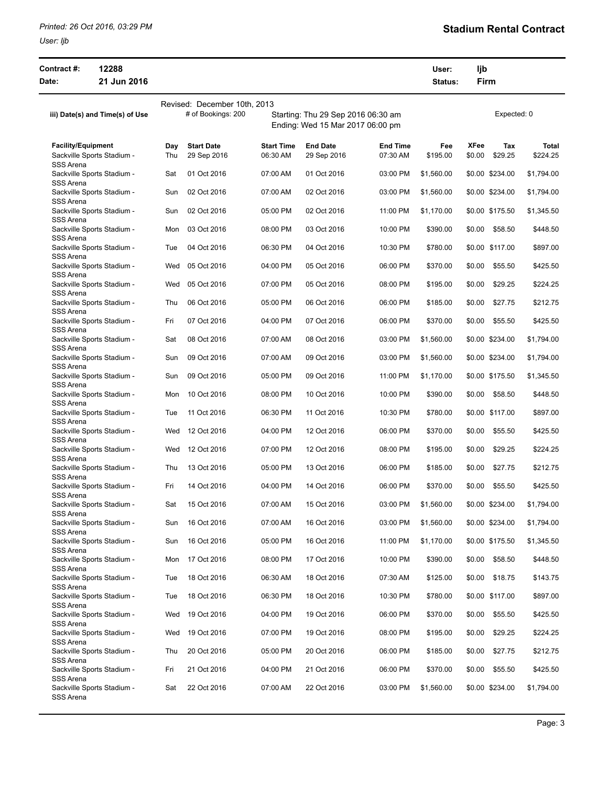| <b>Contract #:</b><br>Date: | 12288<br>21 Jun 2016            |            |                                                    |                               |                                                                        |                             | User:<br>Status: | ljb                   | Firm            |                   |
|-----------------------------|---------------------------------|------------|----------------------------------------------------|-------------------------------|------------------------------------------------------------------------|-----------------------------|------------------|-----------------------|-----------------|-------------------|
|                             | iii) Date(s) and Time(s) of Use |            | Revised: December 10th, 2013<br># of Bookings: 200 |                               | Starting: Thu 29 Sep 2016 06:30 am<br>Ending: Wed 15 Mar 2017 06:00 pm |                             |                  |                       | Expected: 0     |                   |
| <b>Facility/Equipment</b>   | Sackville Sports Stadium -      | Day<br>Thu | <b>Start Date</b><br>29 Sep 2016                   | <b>Start Time</b><br>06:30 AM | <b>End Date</b><br>29 Sep 2016                                         | <b>End Time</b><br>07:30 AM | Fee<br>\$195.00  | <b>XFee</b><br>\$0.00 | Tax<br>\$29.25  | Total<br>\$224.25 |
| SSS Arena                   | Sackville Sports Stadium -      | Sat        | 01 Oct 2016                                        | 07:00 AM                      | 01 Oct 2016                                                            | 03:00 PM                    | \$1,560.00       |                       | \$0.00 \$234.00 | \$1,794.00        |
| SSS Arena                   | Sackville Sports Stadium -      | Sun        | 02 Oct 2016                                        | 07:00 AM                      | 02 Oct 2016                                                            | 03:00 PM                    | \$1,560.00       |                       | \$0.00 \$234.00 | \$1,794.00        |
| SSS Arena                   | Sackville Sports Stadium -      | Sun        | 02 Oct 2016                                        | 05:00 PM                      | 02 Oct 2016                                                            | 11:00 PM                    | \$1,170.00       |                       | \$0.00 \$175.50 | \$1,345.50        |
| SSS Arena                   | Sackville Sports Stadium -      | Mon        | 03 Oct 2016                                        | 08:00 PM                      | 03 Oct 2016                                                            | 10:00 PM                    | \$390.00         |                       | \$0.00 \$58.50  | \$448.50          |
| SSS Arena                   | Sackville Sports Stadium -      | Tue        | 04 Oct 2016                                        | 06:30 PM                      | 04 Oct 2016                                                            | 10:30 PM                    | \$780.00         |                       | \$0.00 \$117.00 | \$897.00          |
| SSS Arena                   | Sackville Sports Stadium -      |            | Wed 05 Oct 2016                                    | 04:00 PM                      | 05 Oct 2016                                                            | 06:00 PM                    | \$370.00         | \$0.00                | \$55.50         | \$425.50          |
| SSS Arena                   | Sackville Sports Stadium -      | Wed        | 05 Oct 2016                                        | 07:00 PM                      | 05 Oct 2016                                                            | 08:00 PM                    | \$195.00         | \$0.00                | \$29.25         | \$224.25          |
| SSS Arena<br>SSS Arena      | Sackville Sports Stadium -      | Thu        | 06 Oct 2016                                        | 05:00 PM                      | 06 Oct 2016                                                            | 06:00 PM                    | \$185.00         | \$0.00                | \$27.75         | \$212.75          |
| SSS Arena                   | Sackville Sports Stadium -      | Fri        | 07 Oct 2016                                        | 04:00 PM                      | 07 Oct 2016                                                            | 06:00 PM                    | \$370.00         | \$0.00                | \$55.50         | \$425.50          |
| SSS Arena                   | Sackville Sports Stadium -      | Sat        | 08 Oct 2016                                        | 07:00 AM                      | 08 Oct 2016                                                            | 03:00 PM                    | \$1,560.00       |                       | \$0.00 \$234.00 | \$1,794.00        |
| SSS Arena                   | Sackville Sports Stadium -      | Sun        | 09 Oct 2016                                        | 07:00 AM                      | 09 Oct 2016                                                            | 03:00 PM                    | \$1,560.00       |                       | \$0.00 \$234.00 | \$1,794.00        |
| SSS Arena                   | Sackville Sports Stadium -      | Sun        | 09 Oct 2016                                        | 05:00 PM                      | 09 Oct 2016                                                            | 11:00 PM                    | \$1,170.00       |                       | \$0.00 \$175.50 | \$1,345.50        |
| SSS Arena                   | Sackville Sports Stadium -      | Mon        | 10 Oct 2016                                        | 08:00 PM                      | 10 Oct 2016                                                            | 10:00 PM                    | \$390.00         |                       | \$0.00 \$58.50  | \$448.50          |
| SSS Arena                   | Sackville Sports Stadium -      | Tue        | 11 Oct 2016                                        | 06:30 PM                      | 11 Oct 2016                                                            | 10:30 PM                    | \$780.00         |                       | \$0.00 \$117.00 | \$897.00          |
| SSS Arena                   | Sackville Sports Stadium -      | Wed        | 12 Oct 2016                                        | 04:00 PM                      | 12 Oct 2016                                                            | 06:00 PM                    | \$370.00         |                       | \$0.00 \$55.50  | \$425.50          |
| SSS Arena                   | Sackville Sports Stadium -      |            | Wed 12 Oct 2016                                    | 07:00 PM                      | 12 Oct 2016                                                            | 08:00 PM                    | \$195.00         | \$0.00                | \$29.25         | \$224.25          |
| SSS Arena                   | Sackville Sports Stadium -      | Thu        | 13 Oct 2016                                        | 05:00 PM                      | 13 Oct 2016                                                            | 06:00 PM                    | \$185.00         | \$0.00                | \$27.75         | \$212.75          |
| SSS Arena                   | Sackville Sports Stadium -      | Fri        | 14 Oct 2016                                        | 04:00 PM                      | 14 Oct 2016                                                            | 06:00 PM                    | \$370.00         | \$0.00                | \$55.50         | \$425.50          |
| SSS Arena                   | Sackville Sports Stadium -      | Sat        | 15 Oct 2016                                        | 07:00 AM                      | 15 Oct 2016                                                            | 03:00 PM                    | \$1,560.00       |                       | \$0.00 \$234.00 | \$1,794.00        |
| SSS Arena                   | Sackville Sports Stadium -      | Sun        | 16 Oct 2016                                        | 07:00 AM                      | 16 Oct 2016                                                            | 03:00 PM                    | \$1,560.00       |                       | \$0.00 \$234.00 | \$1,794.00        |
| SSS Arena                   | Sackville Sports Stadium -      | Sun        | 16 Oct 2016                                        | 05:00 PM                      | 16 Oct 2016                                                            | 11:00 PM                    | \$1,170.00       |                       | \$0.00 \$175.50 | \$1,345.50        |
| SSS Arena                   | Sackville Sports Stadium -      | Mon        | 17 Oct 2016                                        | 08:00 PM                      | 17 Oct 2016                                                            | 10:00 PM                    | \$390.00         | \$0.00                | \$58.50         | \$448.50          |
| SSS Arena                   | Sackville Sports Stadium -      | Tue        | 18 Oct 2016                                        | 06:30 AM                      | 18 Oct 2016                                                            | 07:30 AM                    | \$125.00         | \$0.00                | \$18.75         | \$143.75          |
| SSS Arena                   | Sackville Sports Stadium -      | Tue        | 18 Oct 2016                                        | 06:30 PM                      | 18 Oct 2016                                                            | 10:30 PM                    | \$780.00         |                       | \$0.00 \$117.00 | \$897.00          |
| SSS Arena                   | Sackville Sports Stadium -      | Wed        | 19 Oct 2016                                        | 04:00 PM                      | 19 Oct 2016                                                            | 06:00 PM                    | \$370.00         | \$0.00                | \$55.50         | \$425.50          |
| SSS Arena                   | Sackville Sports Stadium -      | Wed        | 19 Oct 2016                                        | 07:00 PM                      | 19 Oct 2016                                                            | 08:00 PM                    | \$195.00         | \$0.00                | \$29.25         | \$224.25          |
| SSS Arena                   | Sackville Sports Stadium -      | Thu        | 20 Oct 2016                                        | 05:00 PM                      | 20 Oct 2016                                                            | 06:00 PM                    | \$185.00         | \$0.00                | \$27.75         | \$212.75          |
| SSS Arena                   | Sackville Sports Stadium -      | Fri        | 21 Oct 2016                                        | 04:00 PM                      | 21 Oct 2016                                                            | 06:00 PM                    | \$370.00         | \$0.00                | \$55.50         | \$425.50          |
| SSS Arena                   | Sackville Sports Stadium -      | Sat        | 22 Oct 2016                                        | 07:00 AM                      | 22 Oct 2016                                                            | 03:00 PM                    | \$1,560.00       |                       | \$0.00 \$234.00 | \$1,794.00        |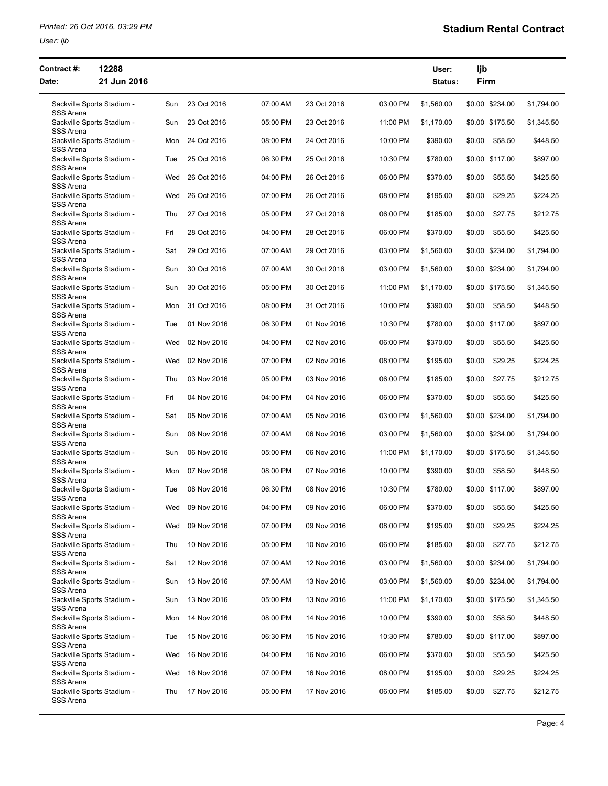| <b>Contract #:</b><br>Date:             | 12288<br>21 Jun 2016       |     |                 |          |             |          | User:<br>Status: | ljb<br>Firm       |            |
|-----------------------------------------|----------------------------|-----|-----------------|----------|-------------|----------|------------------|-------------------|------------|
|                                         | Sackville Sports Stadium - | Sun | 23 Oct 2016     | 07:00 AM | 23 Oct 2016 | 03:00 PM | \$1,560.00       | \$0.00 \$234.00   | \$1,794.00 |
| SSS Arena                               | Sackville Sports Stadium - | Sun | 23 Oct 2016     | 05:00 PM | 23 Oct 2016 | 11:00 PM | \$1,170.00       | \$0.00 \$175.50   | \$1,345.50 |
| SSS Arena<br>SSS Arena                  | Sackville Sports Stadium - | Mon | 24 Oct 2016     | 08:00 PM | 24 Oct 2016 | 10:00 PM | \$390.00         | \$0.00 \$58.50    | \$448.50   |
| Sackville Sports Stadium -<br>SSS Arena |                            | Tue | 25 Oct 2016     | 06:30 PM | 25 Oct 2016 | 10:30 PM | \$780.00         | \$0.00 \$117.00   | \$897.00   |
| Sackville Sports Stadium -<br>SSS Arena |                            |     | Wed 26 Oct 2016 | 04:00 PM | 26 Oct 2016 | 06:00 PM | \$370.00         | \$0.00 \$55.50    | \$425.50   |
| Sackville Sports Stadium -<br>SSS Arena |                            | Wed | 26 Oct 2016     | 07:00 PM | 26 Oct 2016 | 08:00 PM | \$195.00         | \$0.00<br>\$29.25 | \$224.25   |
| SSS Arena                               | Sackville Sports Stadium - | Thu | 27 Oct 2016     | 05:00 PM | 27 Oct 2016 | 06:00 PM | \$185.00         | \$0.00<br>\$27.75 | \$212.75   |
| Sackville Sports Stadium -<br>SSS Arena |                            | Fri | 28 Oct 2016     | 04:00 PM | 28 Oct 2016 | 06:00 PM | \$370.00         | \$0.00<br>\$55.50 | \$425.50   |
| Sackville Sports Stadium -<br>SSS Arena |                            | Sat | 29 Oct 2016     | 07:00 AM | 29 Oct 2016 | 03:00 PM | \$1,560.00       | \$0.00 \$234.00   | \$1,794.00 |
| Sackville Sports Stadium -<br>SSS Arena |                            | Sun | 30 Oct 2016     | 07:00 AM | 30 Oct 2016 | 03:00 PM | \$1,560.00       | \$0.00 \$234.00   | \$1,794.00 |
| Sackville Sports Stadium -<br>SSS Arena |                            | Sun | 30 Oct 2016     | 05:00 PM | 30 Oct 2016 | 11:00 PM | \$1,170.00       | \$0.00 \$175.50   | \$1,345.50 |
| SSS Arena                               | Sackville Sports Stadium - | Mon | 31 Oct 2016     | 08:00 PM | 31 Oct 2016 | 10:00 PM | \$390.00         | \$0.00 \$58.50    | \$448.50   |
| SSS Arena                               | Sackville Sports Stadium - | Tue | 01 Nov 2016     | 06:30 PM | 01 Nov 2016 | 10:30 PM | \$780.00         | \$0.00 \$117.00   | \$897.00   |
| SSS Arena                               | Sackville Sports Stadium - |     | Wed 02 Nov 2016 | 04:00 PM | 02 Nov 2016 | 06:00 PM | \$370.00         | \$0.00 \$55.50    | \$425.50   |
| SSS Arena                               | Sackville Sports Stadium - | Wed | 02 Nov 2016     | 07:00 PM | 02 Nov 2016 | 08:00 PM | \$195.00         | \$0.00<br>\$29.25 | \$224.25   |
| Sackville Sports Stadium -<br>SSS Arena |                            | Thu | 03 Nov 2016     | 05:00 PM | 03 Nov 2016 | 06:00 PM | \$185.00         | \$0.00 \$27.75    | \$212.75   |
| Sackville Sports Stadium -<br>SSS Arena |                            | Fri | 04 Nov 2016     | 04:00 PM | 04 Nov 2016 | 06:00 PM | \$370.00         | \$0.00<br>\$55.50 | \$425.50   |
| Sackville Sports Stadium -<br>SSS Arena |                            | Sat | 05 Nov 2016     | 07:00 AM | 05 Nov 2016 | 03:00 PM | \$1,560.00       | \$0.00 \$234.00   | \$1,794.00 |
| SSS Arena                               | Sackville Sports Stadium - | Sun | 06 Nov 2016     | 07:00 AM | 06 Nov 2016 | 03:00 PM | \$1,560.00       | \$0.00 \$234.00   | \$1,794.00 |
| Sackville Sports Stadium -<br>SSS Arena |                            | Sun | 06 Nov 2016     | 05:00 PM | 06 Nov 2016 | 11:00 PM | \$1,170.00       | \$0.00 \$175.50   | \$1,345.50 |
| Sackville Sports Stadium -<br>SSS Arena |                            | Mon | 07 Nov 2016     | 08:00 PM | 07 Nov 2016 | 10:00 PM | \$390.00         | \$0.00 \$58.50    | \$448.50   |
| Sackville Sports Stadium -<br>SSS Arena |                            | Tue | 08 Nov 2016     | 06:30 PM | 08 Nov 2016 | 10:30 PM | \$780.00         | \$0.00 \$117.00   | \$897.00   |
| SSS Arena                               | Sackville Sports Stadium - |     | Wed 09 Nov 2016 | 04:00 PM | 09 Nov 2016 | 06:00 PM | \$370.00         | \$0.00<br>\$55.50 | \$425.50   |
| SSS Arena                               | Sackville Sports Stadium - | Wed | 09 Nov 2016     | 07:00 PM | 09 Nov 2016 | 08:00 PM | \$195.00         | \$29.25<br>\$0.00 | \$224.25   |
| Sackville Sports Stadium -<br>SSS Arena |                            | Thu | 10 Nov 2016     | 05:00 PM | 10 Nov 2016 | 06:00 PM | \$185.00         | \$0.00<br>\$27.75 | \$212.75   |
| Sackville Sports Stadium -<br>SSS Arena |                            | Sat | 12 Nov 2016     | 07:00 AM | 12 Nov 2016 | 03:00 PM | \$1,560.00       | \$0.00 \$234.00   | \$1,794.00 |
| Sackville Sports Stadium -<br>SSS Arena |                            | Sun | 13 Nov 2016     | 07:00 AM | 13 Nov 2016 | 03:00 PM | \$1,560.00       | \$0.00 \$234.00   | \$1,794.00 |
| Sackville Sports Stadium -<br>SSS Arena |                            | Sun | 13 Nov 2016     | 05:00 PM | 13 Nov 2016 | 11:00 PM | \$1,170.00       | \$0.00 \$175.50   | \$1,345.50 |
| Sackville Sports Stadium -<br>SSS Arena |                            | Mon | 14 Nov 2016     | 08:00 PM | 14 Nov 2016 | 10:00 PM | \$390.00         | \$0.00<br>\$58.50 | \$448.50   |
| Sackville Sports Stadium -<br>SSS Arena |                            | Tue | 15 Nov 2016     | 06:30 PM | 15 Nov 2016 | 10:30 PM | \$780.00         | \$0.00 \$117.00   | \$897.00   |
| Sackville Sports Stadium -<br>SSS Arena |                            | Wed | 16 Nov 2016     | 04:00 PM | 16 Nov 2016 | 06:00 PM | \$370.00         | \$0.00<br>\$55.50 | \$425.50   |
| Sackville Sports Stadium -<br>SSS Arena |                            | Wed | 16 Nov 2016     | 07:00 PM | 16 Nov 2016 | 08:00 PM | \$195.00         | \$0.00<br>\$29.25 | \$224.25   |
| Sackville Sports Stadium -<br>SSS Arena |                            | Thu | 17 Nov 2016     | 05:00 PM | 17 Nov 2016 | 06:00 PM | \$185.00         | \$27.75<br>\$0.00 | \$212.75   |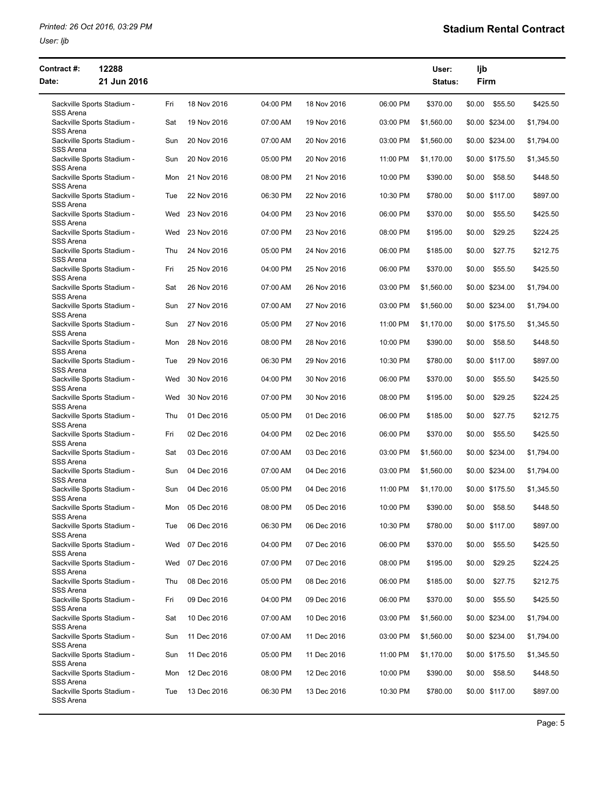| <b>Contract #:</b><br>Date:             | 12288<br>21 Jun 2016       |     |             |          |             |          | User:<br>Status: | ljb<br>Firm |                 |            |
|-----------------------------------------|----------------------------|-----|-------------|----------|-------------|----------|------------------|-------------|-----------------|------------|
|                                         |                            |     |             |          |             |          |                  |             |                 |            |
|                                         | Sackville Sports Stadium - | Fri | 18 Nov 2016 | 04:00 PM | 18 Nov 2016 | 06:00 PM | \$370.00         |             | \$0.00 \$55.50  | \$425.50   |
| SSS Arena<br>SSS Arena                  | Sackville Sports Stadium - | Sat | 19 Nov 2016 | 07:00 AM | 19 Nov 2016 | 03:00 PM | \$1,560.00       |             | \$0.00 \$234.00 | \$1,794.00 |
| SSS Arena                               | Sackville Sports Stadium - | Sun | 20 Nov 2016 | 07:00 AM | 20 Nov 2016 | 03:00 PM | \$1,560.00       |             | \$0.00 \$234.00 | \$1,794.00 |
| Sackville Sports Stadium -<br>SSS Arena |                            | Sun | 20 Nov 2016 | 05:00 PM | 20 Nov 2016 | 11:00 PM | \$1,170.00       |             | \$0.00 \$175.50 | \$1,345.50 |
| Sackville Sports Stadium -<br>SSS Arena |                            | Mon | 21 Nov 2016 | 08:00 PM | 21 Nov 2016 | 10:00 PM | \$390.00         |             | \$0.00 \$58.50  | \$448.50   |
| SSS Arena                               | Sackville Sports Stadium - | Tue | 22 Nov 2016 | 06:30 PM | 22 Nov 2016 | 10:30 PM | \$780.00         |             | \$0.00 \$117.00 | \$897.00   |
| SSS Arena                               | Sackville Sports Stadium - | Wed | 23 Nov 2016 | 04:00 PM | 23 Nov 2016 | 06:00 PM | \$370.00         | \$0.00      | \$55.50         | \$425.50   |
| Sackville Sports Stadium -<br>SSS Arena |                            | Wed | 23 Nov 2016 | 07:00 PM | 23 Nov 2016 | 08:00 PM | \$195.00         | \$0.00      | \$29.25         | \$224.25   |
| Sackville Sports Stadium -<br>SSS Arena |                            | Thu | 24 Nov 2016 | 05:00 PM | 24 Nov 2016 | 06:00 PM | \$185.00         | \$0.00      | \$27.75         | \$212.75   |
| Sackville Sports Stadium -<br>SSS Arena |                            | Fri | 25 Nov 2016 | 04:00 PM | 25 Nov 2016 | 06:00 PM | \$370.00         | \$0.00      | \$55.50         | \$425.50   |
| Sackville Sports Stadium -<br>SSS Arena |                            | Sat | 26 Nov 2016 | 07:00 AM | 26 Nov 2016 | 03:00 PM | \$1,560.00       |             | \$0.00 \$234.00 | \$1,794.00 |
| SSS Arena                               | Sackville Sports Stadium - | Sun | 27 Nov 2016 | 07:00 AM | 27 Nov 2016 | 03:00 PM | \$1,560.00       |             | \$0.00 \$234.00 | \$1,794.00 |
| SSS Arena                               | Sackville Sports Stadium - | Sun | 27 Nov 2016 | 05:00 PM | 27 Nov 2016 | 11:00 PM | \$1,170.00       |             | \$0.00 \$175.50 | \$1,345.50 |
| SSS Arena                               | Sackville Sports Stadium - | Mon | 28 Nov 2016 | 08:00 PM | 28 Nov 2016 | 10:00 PM | \$390.00         |             | \$0.00 \$58.50  | \$448.50   |
| SSS Arena                               | Sackville Sports Stadium - | Tue | 29 Nov 2016 | 06:30 PM | 29 Nov 2016 | 10:30 PM | \$780.00         |             | \$0.00 \$117.00 | \$897.00   |
| Sackville Sports Stadium -<br>SSS Arena |                            | Wed | 30 Nov 2016 | 04:00 PM | 30 Nov 2016 | 06:00 PM | \$370.00         |             | \$0.00 \$55.50  | \$425.50   |
| Sackville Sports Stadium -<br>SSS Arena |                            | Wed | 30 Nov 2016 | 07:00 PM | 30 Nov 2016 | 08:00 PM | \$195.00         | \$0.00      | \$29.25         | \$224.25   |
| Sackville Sports Stadium -<br>SSS Arena |                            | Thu | 01 Dec 2016 | 05:00 PM | 01 Dec 2016 | 06:00 PM | \$185.00         | \$0.00      | \$27.75         | \$212.75   |
| SSS Arena                               | Sackville Sports Stadium - | Fri | 02 Dec 2016 | 04:00 PM | 02 Dec 2016 | 06:00 PM | \$370.00         | \$0.00      | \$55.50         | \$425.50   |
| Sackville Sports Stadium -<br>SSS Arena |                            | Sat | 03 Dec 2016 | 07:00 AM | 03 Dec 2016 | 03:00 PM | \$1,560.00       |             | \$0.00 \$234.00 | \$1,794.00 |
| Sackville Sports Stadium -<br>SSS Arena |                            | Sun | 04 Dec 2016 | 07:00 AM | 04 Dec 2016 | 03:00 PM | \$1,560.00       |             | \$0.00 \$234.00 | \$1,794.00 |
| Sackville Sports Stadium -<br>SSS Arena |                            | Sun | 04 Dec 2016 | 05:00 PM | 04 Dec 2016 | 11:00 PM | \$1,170.00       |             | \$0.00 \$175.50 | \$1,345.50 |
| SSS Arena                               | Sackville Sports Stadium - |     | 05 Dec 2016 | 08:00 PM | 05 Dec 2016 | 10:00 PM | \$390.00         |             | \$0.00 \$58.50  | \$448.50   |
| SSS Arena                               | Sackville Sports Stadium - | Tue | 06 Dec 2016 | 06:30 PM | 06 Dec 2016 | 10:30 PM | \$780.00         |             | \$0.00 \$117.00 | \$897.00   |
| Sackville Sports Stadium -<br>SSS Arena |                            | Wed | 07 Dec 2016 | 04:00 PM | 07 Dec 2016 | 06:00 PM | \$370.00         | \$0.00      | \$55.50         | \$425.50   |
| Sackville Sports Stadium -<br>SSS Arena |                            | Wed | 07 Dec 2016 | 07:00 PM | 07 Dec 2016 | 08:00 PM | \$195.00         | \$0.00      | \$29.25         | \$224.25   |
| Sackville Sports Stadium -<br>SSS Arena |                            | Thu | 08 Dec 2016 | 05:00 PM | 08 Dec 2016 | 06:00 PM | \$185.00         | \$0.00      | \$27.75         | \$212.75   |
| Sackville Sports Stadium -<br>SSS Arena |                            | Fri | 09 Dec 2016 | 04:00 PM | 09 Dec 2016 | 06:00 PM | \$370.00         | \$0.00      | \$55.50         | \$425.50   |
| Sackville Sports Stadium -<br>SSS Arena |                            | Sat | 10 Dec 2016 | 07:00 AM | 10 Dec 2016 | 03:00 PM | \$1,560.00       |             | \$0.00 \$234.00 | \$1,794.00 |
| Sackville Sports Stadium -<br>SSS Arena |                            | Sun | 11 Dec 2016 | 07:00 AM | 11 Dec 2016 | 03:00 PM | \$1,560.00       |             | \$0.00 \$234.00 | \$1,794.00 |
| Sackville Sports Stadium -<br>SSS Arena |                            | Sun | 11 Dec 2016 | 05:00 PM | 11 Dec 2016 | 11:00 PM | \$1,170.00       |             | \$0.00 \$175.50 | \$1,345.50 |
| Sackville Sports Stadium -<br>SSS Arena |                            | Mon | 12 Dec 2016 | 08:00 PM | 12 Dec 2016 | 10:00 PM | \$390.00         | \$0.00      | \$58.50         | \$448.50   |
| Sackville Sports Stadium -<br>SSS Arena |                            | Tue | 13 Dec 2016 | 06:30 PM | 13 Dec 2016 | 10:30 PM | \$780.00         |             | \$0.00 \$117.00 | \$897.00   |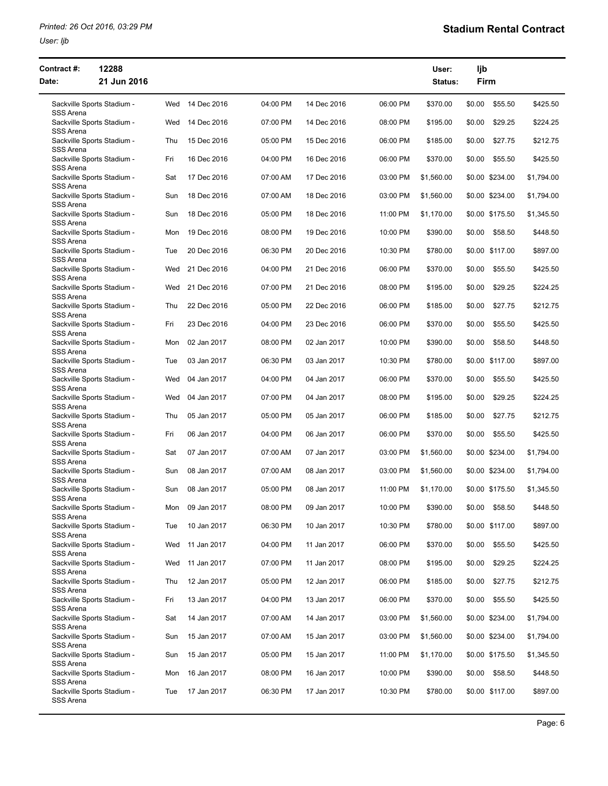| Contract #:                                          | 12288       |     |                 |          |             |          | User:      | ljb    |                 |            |
|------------------------------------------------------|-------------|-----|-----------------|----------|-------------|----------|------------|--------|-----------------|------------|
| Date:                                                | 21 Jun 2016 |     |                 |          |             |          | Status:    | Firm   |                 |            |
| Sackville Sports Stadium -                           |             |     | Wed 14 Dec 2016 | 04:00 PM | 14 Dec 2016 | 06:00 PM | \$370.00   |        | \$0.00 \$55.50  | \$425.50   |
| SSS Arena<br>Sackville Sports Stadium -<br>SSS Arena |             |     | Wed 14 Dec 2016 | 07:00 PM | 14 Dec 2016 | 08:00 PM | \$195.00   | \$0.00 | \$29.25         | \$224.25   |
| Sackville Sports Stadium -<br>SSS Arena              |             | Thu | 15 Dec 2016     | 05:00 PM | 15 Dec 2016 | 06:00 PM | \$185.00   |        | \$0.00 \$27.75  | \$212.75   |
| Sackville Sports Stadium -<br>SSS Arena              |             | Fri | 16 Dec 2016     | 04:00 PM | 16 Dec 2016 | 06:00 PM | \$370.00   | \$0.00 | \$55.50         | \$425.50   |
| Sackville Sports Stadium -<br>SSS Arena              |             | Sat | 17 Dec 2016     | 07:00 AM | 17 Dec 2016 | 03:00 PM | \$1,560.00 |        | \$0.00 \$234.00 | \$1,794.00 |
| Sackville Sports Stadium -<br>SSS Arena              |             | Sun | 18 Dec 2016     | 07:00 AM | 18 Dec 2016 | 03:00 PM | \$1,560.00 |        | \$0.00 \$234.00 | \$1,794.00 |
| Sackville Sports Stadium -<br>SSS Arena              |             | Sun | 18 Dec 2016     | 05:00 PM | 18 Dec 2016 | 11:00 PM | \$1,170.00 |        | \$0.00 \$175.50 | \$1,345.50 |
| Sackville Sports Stadium -<br>SSS Arena              |             | Mon | 19 Dec 2016     | 08:00 PM | 19 Dec 2016 | 10:00 PM | \$390.00   |        | \$0.00 \$58.50  | \$448.50   |
| Sackville Sports Stadium -<br>SSS Arena              |             | Tue | 20 Dec 2016     | 06:30 PM | 20 Dec 2016 | 10:30 PM | \$780.00   |        | \$0.00 \$117.00 | \$897.00   |
| Sackville Sports Stadium -<br>SSS Arena              |             |     | Wed 21 Dec 2016 | 04:00 PM | 21 Dec 2016 | 06:00 PM | \$370.00   | \$0.00 | \$55.50         | \$425.50   |
| Sackville Sports Stadium -<br>SSS Arena              |             | Wed | 21 Dec 2016     | 07:00 PM | 21 Dec 2016 | 08:00 PM | \$195.00   | \$0.00 | \$29.25         | \$224.25   |
| Sackville Sports Stadium -<br>SSS Arena              |             | Thu | 22 Dec 2016     | 05:00 PM | 22 Dec 2016 | 06:00 PM | \$185.00   | \$0.00 | \$27.75         | \$212.75   |
| Sackville Sports Stadium -<br>SSS Arena              |             | Fri | 23 Dec 2016     | 04:00 PM | 23 Dec 2016 | 06:00 PM | \$370.00   | \$0.00 | \$55.50         | \$425.50   |
| Sackville Sports Stadium -<br>SSS Arena              |             | Mon | 02 Jan 2017     | 08:00 PM | 02 Jan 2017 | 10:00 PM | \$390.00   |        | \$0.00 \$58.50  | \$448.50   |
| Sackville Sports Stadium -<br>SSS Arena              |             | Tue | 03 Jan 2017     | 06:30 PM | 03 Jan 2017 | 10:30 PM | \$780.00   |        | \$0.00 \$117.00 | \$897.00   |
| Sackville Sports Stadium -<br>SSS Arena              |             |     | Wed 04 Jan 2017 | 04:00 PM | 04 Jan 2017 | 06:00 PM | \$370.00   |        | \$0.00 \$55.50  | \$425.50   |
| Sackville Sports Stadium -<br>SSS Arena              |             | Wed | 04 Jan 2017     | 07:00 PM | 04 Jan 2017 | 08:00 PM | \$195.00   | \$0.00 | \$29.25         | \$224.25   |
| Sackville Sports Stadium -<br>SSS Arena              |             | Thu | 05 Jan 2017     | 05:00 PM | 05 Jan 2017 | 06:00 PM | \$185.00   | \$0.00 | \$27.75         | \$212.75   |
| Sackville Sports Stadium -<br>SSS Arena              |             | Fri | 06 Jan 2017     | 04:00 PM | 06 Jan 2017 | 06:00 PM | \$370.00   | \$0.00 | \$55.50         | \$425.50   |
| Sackville Sports Stadium -<br>SSS Arena              |             | Sat | 07 Jan 2017     | 07:00 AM | 07 Jan 2017 | 03:00 PM | \$1,560.00 |        | \$0.00 \$234.00 | \$1,794.00 |
| Sackville Sports Stadium -<br>SSS Arena              |             | Sun | 08 Jan 2017     | 07:00 AM | 08 Jan 2017 | 03:00 PM | \$1,560.00 |        | \$0.00 \$234.00 | \$1,794.00 |
| Sackville Sports Stadium -<br>SSS Arena              |             | Sun | 08 Jan 2017     | 05:00 PM | 08 Jan 2017 | 11:00 PM | \$1,170.00 |        | \$0.00 \$175.50 | \$1.345.50 |
| Sackville Sports Stadium -<br>SSS Arena              |             | Mon | 09 Jan 2017     | 08:00 PM | 09 Jan 2017 | 10:00 PM | \$390.00   | \$0.00 | \$58.50         | \$448.50   |
| Sackville Sports Stadium -<br>SSS Arena              |             | Tue | 10 Jan 2017     | 06:30 PM | 10 Jan 2017 | 10:30 PM | \$780.00   |        | \$0.00 \$117.00 | \$897.00   |
| Sackville Sports Stadium -<br>SSS Arena              |             |     | Wed 11 Jan 2017 | 04:00 PM | 11 Jan 2017 | 06:00 PM | \$370.00   | \$0.00 | \$55.50         | \$425.50   |
| Sackville Sports Stadium -<br>SSS Arena              |             |     | Wed 11 Jan 2017 | 07:00 PM | 11 Jan 2017 | 08:00 PM | \$195.00   | \$0.00 | \$29.25         | \$224.25   |
| Sackville Sports Stadium -<br>SSS Arena              |             | Thu | 12 Jan 2017     | 05:00 PM | 12 Jan 2017 | 06:00 PM | \$185.00   | \$0.00 | \$27.75         | \$212.75   |
| Sackville Sports Stadium -<br>SSS Arena              |             | Fri | 13 Jan 2017     | 04:00 PM | 13 Jan 2017 | 06:00 PM | \$370.00   | \$0.00 | \$55.50         | \$425.50   |
| Sackville Sports Stadium -<br>SSS Arena              |             | Sat | 14 Jan 2017     | 07:00 AM | 14 Jan 2017 | 03:00 PM | \$1,560.00 |        | \$0.00 \$234.00 | \$1,794.00 |
| Sackville Sports Stadium -<br>SSS Arena              |             | Sun | 15 Jan 2017     | 07:00 AM | 15 Jan 2017 | 03:00 PM | \$1,560.00 |        | \$0.00 \$234.00 | \$1,794.00 |
| Sackville Sports Stadium -<br>SSS Arena              |             | Sun | 15 Jan 2017     | 05:00 PM | 15 Jan 2017 | 11:00 PM | \$1,170.00 |        | \$0.00 \$175.50 | \$1,345.50 |
| Sackville Sports Stadium -<br>SSS Arena              |             | Mon | 16 Jan 2017     | 08:00 PM | 16 Jan 2017 | 10:00 PM | \$390.00   | \$0.00 | \$58.50         | \$448.50   |
| Sackville Sports Stadium -<br>SSS Arena              |             | Tue | 17 Jan 2017     | 06:30 PM | 17 Jan 2017 | 10:30 PM | \$780.00   |        | \$0.00 \$117.00 | \$897.00   |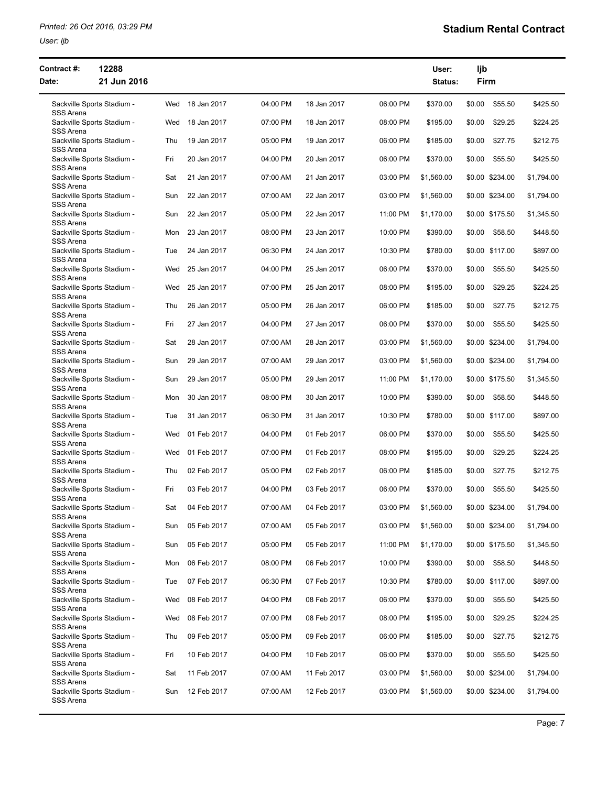| Contract #:            | 12288                      |     |                 |          |             |          | User:      | ljb    |                 |            |
|------------------------|----------------------------|-----|-----------------|----------|-------------|----------|------------|--------|-----------------|------------|
| Date:                  | 21 Jun 2016                |     |                 |          |             |          | Status:    | Firm   |                 |            |
|                        | Sackville Sports Stadium - |     | Wed 18 Jan 2017 | 04:00 PM | 18 Jan 2017 | 06:00 PM | \$370.00   |        | \$0.00 \$55.50  | \$425.50   |
| SSS Arena<br>SSS Arena | Sackville Sports Stadium - |     | Wed 18 Jan 2017 | 07:00 PM | 18 Jan 2017 | 08:00 PM | \$195.00   | \$0.00 | \$29.25         | \$224.25   |
| SSS Arena              | Sackville Sports Stadium - | Thu | 19 Jan 2017     | 05:00 PM | 19 Jan 2017 | 06:00 PM | \$185.00   |        | \$0.00 \$27.75  | \$212.75   |
| SSS Arena              | Sackville Sports Stadium - | Fri | 20 Jan 2017     | 04:00 PM | 20 Jan 2017 | 06:00 PM | \$370.00   | \$0.00 | \$55.50         | \$425.50   |
| SSS Arena              | Sackville Sports Stadium - | Sat | 21 Jan 2017     | 07:00 AM | 21 Jan 2017 | 03:00 PM | \$1,560.00 |        | \$0.00 \$234.00 | \$1,794.00 |
| SSS Arena              | Sackville Sports Stadium - | Sun | 22 Jan 2017     | 07:00 AM | 22 Jan 2017 | 03:00 PM | \$1,560.00 |        | \$0.00 \$234.00 | \$1,794.00 |
| SSS Arena              | Sackville Sports Stadium - | Sun | 22 Jan 2017     | 05:00 PM | 22 Jan 2017 | 11:00 PM | \$1,170.00 |        | \$0.00 \$175.50 | \$1,345.50 |
| SSS Arena              | Sackville Sports Stadium - | Mon | 23 Jan 2017     | 08:00 PM | 23 Jan 2017 | 10:00 PM | \$390.00   |        | \$0.00 \$58.50  | \$448.50   |
| SSS Arena              | Sackville Sports Stadium - | Tue | 24 Jan 2017     | 06:30 PM | 24 Jan 2017 | 10:30 PM | \$780.00   |        | \$0.00 \$117.00 | \$897.00   |
| SSS Arena              | Sackville Sports Stadium - |     | Wed 25 Jan 2017 | 04:00 PM | 25 Jan 2017 | 06:00 PM | \$370.00   | \$0.00 | \$55.50         | \$425.50   |
| SSS Arena              | Sackville Sports Stadium - |     | Wed 25 Jan 2017 | 07:00 PM | 25 Jan 2017 | 08:00 PM | \$195.00   | \$0.00 | \$29.25         | \$224.25   |
| SSS Arena              | Sackville Sports Stadium - | Thu | 26 Jan 2017     | 05:00 PM | 26 Jan 2017 | 06:00 PM | \$185.00   | \$0.00 | \$27.75         | \$212.75   |
| SSS Arena              | Sackville Sports Stadium - | Fri | 27 Jan 2017     | 04:00 PM | 27 Jan 2017 | 06:00 PM | \$370.00   | \$0.00 | \$55.50         | \$425.50   |
| SSS Arena              | Sackville Sports Stadium - | Sat | 28 Jan 2017     | 07:00 AM | 28 Jan 2017 | 03:00 PM | \$1,560.00 |        | \$0.00 \$234.00 | \$1,794.00 |
| SSS Arena              | Sackville Sports Stadium - | Sun | 29 Jan 2017     | 07:00 AM | 29 Jan 2017 | 03:00 PM | \$1,560.00 |        | \$0.00 \$234.00 | \$1,794.00 |
| SSS Arena              | Sackville Sports Stadium - | Sun | 29 Jan 2017     | 05:00 PM | 29 Jan 2017 | 11:00 PM | \$1,170.00 |        | \$0.00 \$175.50 | \$1,345.50 |
| SSS Arena              | Sackville Sports Stadium - | Mon | 30 Jan 2017     | 08:00 PM | 30 Jan 2017 | 10:00 PM | \$390.00   |        | \$0.00 \$58.50  | \$448.50   |
| SSS Arena              | Sackville Sports Stadium - | Tue | 31 Jan 2017     | 06:30 PM | 31 Jan 2017 | 10:30 PM | \$780.00   |        | \$0.00 \$117.00 | \$897.00   |
| SSS Arena              | Sackville Sports Stadium - | Wed | 01 Feb 2017     | 04:00 PM | 01 Feb 2017 | 06:00 PM | \$370.00   | \$0.00 | \$55.50         | \$425.50   |
| SSS Arena              | Sackville Sports Stadium - |     | Wed 01 Feb 2017 | 07:00 PM | 01 Feb 2017 | 08:00 PM | \$195.00   | \$0.00 | \$29.25         | \$224.25   |
| SSS Arena              | Sackville Sports Stadium - | Thu | 02 Feb 2017     | 05:00 PM | 02 Feb 2017 | 06:00 PM | \$185.00   | \$0.00 | \$27.75         | \$212.75   |
| SSS Arena              | Sackville Sports Stadium - | Fri | 03 Feb 2017     | 04:00 PM | 03 Feb 2017 | 06:00 PM | \$370.00   | \$0.00 | \$55.50         | \$425.50   |
| SSS Arena              | Sackville Sports Stadium - | Sat | 04 Feb 2017     | 07:00 AM | 04 Feb 2017 | 03:00 PM | \$1,560.00 |        | \$0.00 \$234.00 | \$1,794.00 |
| SSS Arena              | Sackville Sports Stadium - | Sun | 05 Feb 2017     | 07:00 AM | 05 Feb 2017 | 03:00 PM | \$1,560.00 |        | \$0.00 \$234.00 | \$1,794.00 |
| SSS Arena              | Sackville Sports Stadium - | Sun | 05 Feb 2017     | 05:00 PM | 05 Feb 2017 | 11:00 PM | \$1,170.00 |        | \$0.00 \$175.50 | \$1,345.50 |
| SSS Arena              | Sackville Sports Stadium - | Mon | 06 Feb 2017     | 08:00 PM | 06 Feb 2017 | 10:00 PM | \$390.00   |        | \$0.00 \$58.50  | \$448.50   |
| SSS Arena              | Sackville Sports Stadium - | Tue | 07 Feb 2017     | 06:30 PM | 07 Feb 2017 | 10:30 PM | \$780.00   |        | \$0.00 \$117.00 | \$897.00   |
| SSS Arena              | Sackville Sports Stadium - | Wed | 08 Feb 2017     | 04:00 PM | 08 Feb 2017 | 06:00 PM | \$370.00   | \$0.00 | \$55.50         | \$425.50   |
| SSS Arena              | Sackville Sports Stadium - | Wed | 08 Feb 2017     | 07:00 PM | 08 Feb 2017 | 08:00 PM | \$195.00   | \$0.00 | \$29.25         | \$224.25   |
| SSS Arena              | Sackville Sports Stadium - | Thu | 09 Feb 2017     | 05:00 PM | 09 Feb 2017 | 06:00 PM | \$185.00   | \$0.00 | \$27.75         | \$212.75   |
| SSS Arena              | Sackville Sports Stadium - | Fri | 10 Feb 2017     | 04:00 PM | 10 Feb 2017 | 06:00 PM | \$370.00   | \$0.00 | \$55.50         | \$425.50   |
| SSS Arena              | Sackville Sports Stadium - | Sat | 11 Feb 2017     | 07:00 AM | 11 Feb 2017 | 03:00 PM | \$1,560.00 |        | \$0.00 \$234.00 | \$1,794.00 |
| SSS Arena              | Sackville Sports Stadium - | Sun | 12 Feb 2017     | 07:00 AM | 12 Feb 2017 | 03:00 PM | \$1,560.00 |        | \$0.00 \$234.00 | \$1,794.00 |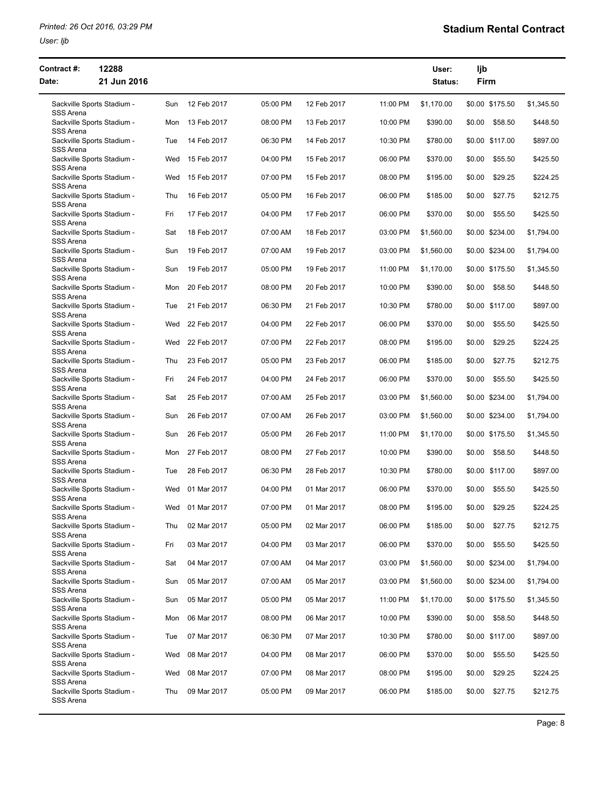| <b>Contract #:</b><br>Date: | 12288<br>21 Jun 2016       |     |                 |          |             |          | User:<br>Status: | ljb<br>Firm       |            |
|-----------------------------|----------------------------|-----|-----------------|----------|-------------|----------|------------------|-------------------|------------|
|                             | Sackville Sports Stadium - | Sun | 12 Feb 2017     | 05:00 PM | 12 Feb 2017 | 11:00 PM | \$1,170.00       | \$0.00 \$175.50   | \$1,345.50 |
| SSS Arena                   | Sackville Sports Stadium - | Mon | 13 Feb 2017     | 08:00 PM | 13 Feb 2017 | 10:00 PM | \$390.00         | \$0.00 \$58.50    | \$448.50   |
| SSS Arena<br>SSS Arena      | Sackville Sports Stadium - | Tue | 14 Feb 2017     | 06:30 PM | 14 Feb 2017 | 10:30 PM | \$780.00         | \$0.00 \$117.00   | \$897.00   |
| SSS Arena                   | Sackville Sports Stadium - |     | Wed 15 Feb 2017 | 04:00 PM | 15 Feb 2017 | 06:00 PM | \$370.00         | \$0.00<br>\$55.50 | \$425.50   |
| SSS Arena                   | Sackville Sports Stadium - |     | Wed 15 Feb 2017 | 07:00 PM | 15 Feb 2017 | 08:00 PM | \$195.00         | \$0.00<br>\$29.25 | \$224.25   |
| SSS Arena                   | Sackville Sports Stadium - | Thu | 16 Feb 2017     | 05:00 PM | 16 Feb 2017 | 06:00 PM | \$185.00         | \$0.00<br>\$27.75 | \$212.75   |
| SSS Arena                   | Sackville Sports Stadium - | Fri | 17 Feb 2017     | 04:00 PM | 17 Feb 2017 | 06:00 PM | \$370.00         | \$0.00<br>\$55.50 | \$425.50   |
| SSS Arena                   | Sackville Sports Stadium - | Sat | 18 Feb 2017     | 07:00 AM | 18 Feb 2017 | 03:00 PM | \$1,560.00       | \$0.00 \$234.00   | \$1,794.00 |
| SSS Arena                   | Sackville Sports Stadium - | Sun | 19 Feb 2017     | 07:00 AM | 19 Feb 2017 | 03:00 PM | \$1,560.00       | \$0.00 \$234.00   | \$1,794.00 |
| SSS Arena                   | Sackville Sports Stadium - | Sun | 19 Feb 2017     | 05:00 PM | 19 Feb 2017 | 11:00 PM | \$1,170.00       | \$0.00 \$175.50   | \$1,345.50 |
| SSS Arena                   | Sackville Sports Stadium - | Mon | 20 Feb 2017     | 08:00 PM | 20 Feb 2017 | 10:00 PM | \$390.00         | \$0.00<br>\$58.50 | \$448.50   |
| SSS Arena                   | Sackville Sports Stadium - | Tue | 21 Feb 2017     | 06:30 PM | 21 Feb 2017 | 10:30 PM | \$780.00         | \$0.00 \$117.00   | \$897.00   |
| SSS Arena                   | Sackville Sports Stadium - |     | Wed 22 Feb 2017 | 04:00 PM | 22 Feb 2017 | 06:00 PM | \$370.00         | \$0.00<br>\$55.50 | \$425.50   |
| SSS Arena                   | Sackville Sports Stadium - |     | Wed 22 Feb 2017 | 07:00 PM | 22 Feb 2017 | 08:00 PM | \$195.00         | \$0.00 \$29.25    | \$224.25   |
| SSS Arena                   | Sackville Sports Stadium - | Thu | 23 Feb 2017     | 05:00 PM | 23 Feb 2017 | 06:00 PM | \$185.00         | \$0.00<br>\$27.75 | \$212.75   |
| SSS Arena                   | Sackville Sports Stadium - | Fri | 24 Feb 2017     | 04:00 PM | 24 Feb 2017 | 06:00 PM | \$370.00         | \$0.00 \$55.50    | \$425.50   |
| SSS Arena                   | Sackville Sports Stadium - | Sat | 25 Feb 2017     | 07:00 AM | 25 Feb 2017 | 03:00 PM | \$1,560.00       | \$0.00 \$234.00   | \$1,794.00 |
| SSS Arena                   | Sackville Sports Stadium - | Sun | 26 Feb 2017     | 07:00 AM | 26 Feb 2017 | 03:00 PM | \$1,560.00       | \$0.00 \$234.00   | \$1,794.00 |
| SSS Arena                   | Sackville Sports Stadium - | Sun | 26 Feb 2017     | 05:00 PM | 26 Feb 2017 | 11:00 PM | \$1,170.00       | \$0.00 \$175.50   | \$1,345.50 |
| SSS Arena                   | Sackville Sports Stadium - |     | Mon 27 Feb 2017 | 08:00 PM | 27 Feb 2017 | 10:00 PM | \$390.00         | \$0.00 \$58.50    | \$448.50   |
| SSS Arena                   | Sackville Sports Stadium - | Tue | 28 Feb 2017     | 06:30 PM | 28 Feb 2017 | 10:30 PM | \$780.00         | \$0.00 \$117.00   | \$897.00   |
| SSS Arena                   | Sackville Sports Stadium - |     | Wed 01 Mar 2017 | 04:00 PM | 01 Mar 2017 | 06:00 PM | \$370.00         | \$0.00<br>\$55.50 | \$425.50   |
| SSS Arena                   | Sackville Sports Stadium - |     | Wed 01 Mar 2017 | 07:00 PM | 01 Mar 2017 | 08:00 PM | \$195.00         | \$29.25<br>\$0.00 | \$224.25   |
| SSS Arena                   | Sackville Sports Stadium - | Thu | 02 Mar 2017     | 05:00 PM | 02 Mar 2017 | 06:00 PM | \$185.00         | \$27.75<br>\$0.00 | \$212.75   |
| SSS Arena                   | Sackville Sports Stadium - | Fri | 03 Mar 2017     | 04:00 PM | 03 Mar 2017 | 06:00 PM | \$370.00         | \$0.00<br>\$55.50 | \$425.50   |
| SSS Arena                   | Sackville Sports Stadium - | Sat | 04 Mar 2017     | 07:00 AM | 04 Mar 2017 | 03:00 PM | \$1,560.00       | \$0.00 \$234.00   | \$1,794.00 |
| SSS Arena                   | Sackville Sports Stadium - | Sun | 05 Mar 2017     | 07:00 AM | 05 Mar 2017 | 03:00 PM | \$1,560.00       | \$0.00 \$234.00   | \$1,794.00 |
| SSS Arena                   | Sackville Sports Stadium - | Sun | 05 Mar 2017     | 05:00 PM | 05 Mar 2017 | 11:00 PM | \$1,170.00       | \$0.00 \$175.50   | \$1,345.50 |
| SSS Arena                   | Sackville Sports Stadium - | Mon | 06 Mar 2017     | 08:00 PM | 06 Mar 2017 | 10:00 PM | \$390.00         | \$0.00<br>\$58.50 | \$448.50   |
| SSS Arena                   | Sackville Sports Stadium - | Tue | 07 Mar 2017     | 06:30 PM | 07 Mar 2017 | 10:30 PM | \$780.00         | \$0.00 \$117.00   | \$897.00   |
| SSS Arena                   | Sackville Sports Stadium - | Wed | 08 Mar 2017     | 04:00 PM | 08 Mar 2017 | 06:00 PM | \$370.00         | \$0.00<br>\$55.50 | \$425.50   |
| SSS Arena                   | Sackville Sports Stadium - | Wed | 08 Mar 2017     | 07:00 PM | 08 Mar 2017 | 08:00 PM | \$195.00         | \$0.00<br>\$29.25 | \$224.25   |
| SSS Arena                   | Sackville Sports Stadium - | Thu | 09 Mar 2017     | 05:00 PM | 09 Mar 2017 | 06:00 PM | \$185.00         | \$0.00<br>\$27.75 | \$212.75   |